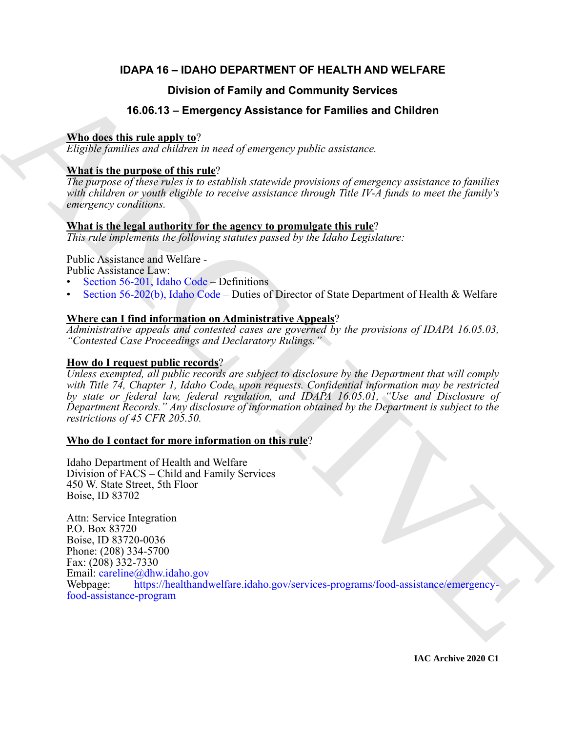## **IDAPA 16 – IDAHO DEPARTMENT OF HEALTH AND WELFARE**

## **Division of Family and Community Services**

## **16.06.13 – Emergency Assistance for Families and Children**

### **Who does this rule apply to**?

*Eligible families and children in need of emergency public assistance.*

## **What is the purpose of this rule**?

*The purpose of these rules is to establish statewide provisions of emergency assistance to families with children or youth eligible to receive assistance through Title IV-A funds to meet the family's emergency conditions.*

## **What is the legal authority for the agency to promulgate this rule**?

*This rule implements the following statutes passed by the Idaho Legislature:*

Public Assistance and Welfare -

Public Assistance Law:

- Section 56-201, Idaho Code Definitions
- Section 56-202(b), Idaho Code Duties of Director of State Department of Health & Welfare

## **Where can I find information on Administrative Appeals**?

*Administrative appeals and contested cases are governed by the provisions of IDAPA 16.05.03, "Contested Case Proceedings and Declaratory Rulings."*

## **How do I request public records**?

*Unless exempted, all public records are subject to disclosure by the Department that will comply with Title 74, Chapter 1, Idaho Code, upon requests. Confidential information may be restricted by state or federal law, federal regulation, and IDAPA 16.05.01, "Use and Disclosure of Department Records." Any disclosure of information obtained by the Department is subject to the restrictions of 45 CFR 205.50.*

## **Who do I contact for more information on this rule**?

Idaho Department of Health and Welfare Division of FACS – Child and Family Services 450 W. State Street, 5th Floor Boise, ID 83702

**Division of Family and Community Services**<br> **16.06.13 - Emergency Assistance for Families and Children**<br> **ARR describis rule and the parameter of the range of energy public assistance**<br> **ARR is the parameter of this rule** Attn: Service Integration P.O. Box 83720 Boise, ID 83720-0036 Phone: (208) 334-5700 Fax: (208) 332-7330 Email: careline@dhw.idaho.gov Webpage: https://healthandwelfare.idaho.gov/services-programs/food-assistance/emergencyfood-assistance-program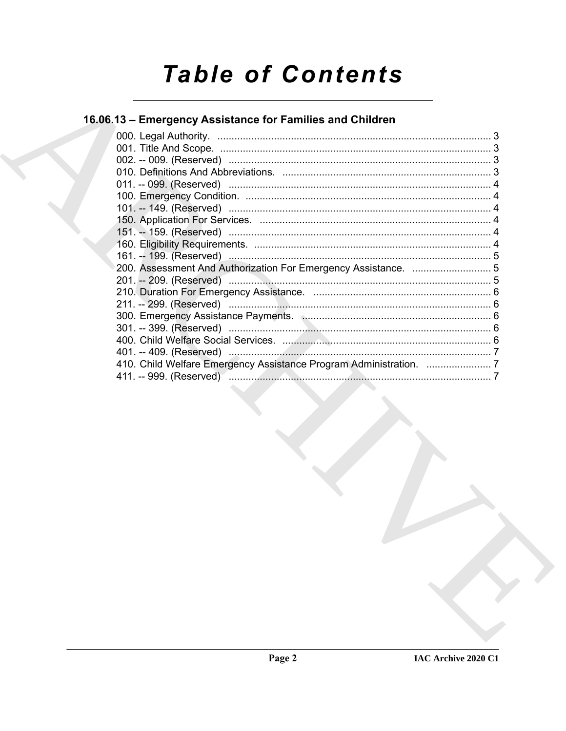# **Table of Contents**

## 16.06.13 - Emergency Assistance for Families and Children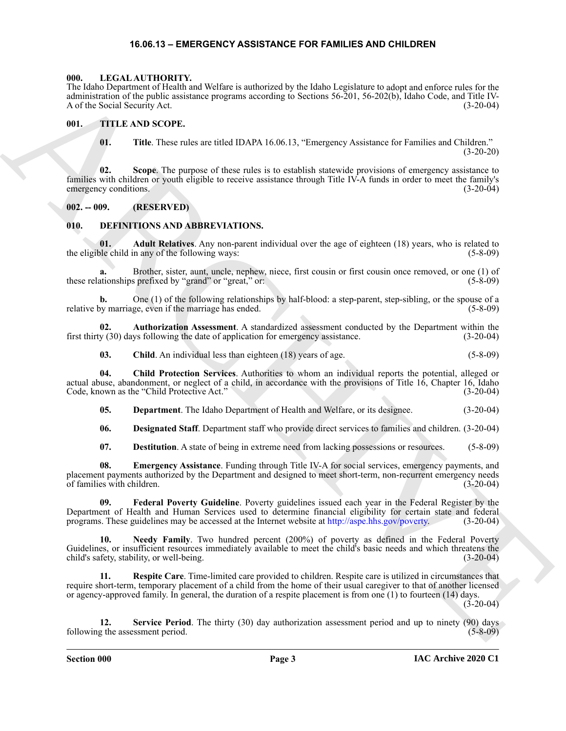#### **16.06.13 – EMERGENCY ASSISTANCE FOR FAMILIES AND CHILDREN**

#### <span id="page-2-18"></span><span id="page-2-1"></span><span id="page-2-0"></span>**000. LEGAL AUTHORITY.**

The Idaho Department of Health and Welfare is authorized by the Idaho Legislature to adopt and enforce rules for the administration of the public assistance programs according to Sections 56-201, 56-202(b), Idaho Code, and Title IV-<br>A of the Social Security Act. (3-20-04) A of the Social Security Act.

#### <span id="page-2-2"></span>**001. TITLE AND SCOPE.**

<span id="page-2-19"></span>**01. Title**. These rules are titled IDAPA 16.06.13, "Emergency Assistance for Families and Children." (3-20-20)

The Keybo Particular of Herman is the Keybo Particular and the Business of the Real Particular and the Real Particular and the Real Particular and the Real Particular and the Real Particular and the Real Particular and th **02. Scope**. The purpose of these rules is to establish statewide provisions of emergency assistance to families with children or youth eligible to receive assistance through Title IV-A funds in order to meet the family's emergency conditions. (3-20-04)

#### <span id="page-2-3"></span>**002. -- 009. (RESERVED)**

#### <span id="page-2-5"></span><span id="page-2-4"></span>**010. DEFINITIONS AND ABBREVIATIONS.**

<span id="page-2-6"></span>**01.** Adult Relatives. Any non-parent individual over the age of eighteen (18) years, who is related to ble child in any of the following ways: (5-8-09) the eligible child in any of the following ways:

**a.** Brother, sister, aunt, uncle, nephew, niece, first cousin or first cousin once removed, or one (1) of these relationships prefixed by "grand" or "great," or: (5-8-09)

**b.** One (1) of the following relationships by half-blood: a step-parent, step-sibling, or the spouse of a relative by marriage, even if the marriage has ended. (5-8-09)

**02. Authorization Assessment**. A standardized assessment conducted by the Department within the first thirty (30) days following the date of application for emergency assistance. (3-20-04)

<span id="page-2-9"></span><span id="page-2-8"></span><span id="page-2-7"></span>**03.** Child. An individual less than eighteen (18) years of age. (5-8-09)

**04. Child Protection Services**. Authorities to whom an individual reports the potential, alleged or actual abuse, abandonment, or neglect of a child, in accordance with the provisions of Title 16, Chapter 16, Idaho Code, known as the "Child Protective Act." (3-20-04)

<span id="page-2-10"></span>**05. Department**. The Idaho Department of Health and Welfare, or its designee. (3-20-04)

<span id="page-2-12"></span><span id="page-2-11"></span>**06. Designated Staff**. Department staff who provide direct services to families and children. (3-20-04)

<span id="page-2-14"></span><span id="page-2-13"></span>**07. Destitution**. A state of being in extreme need from lacking possessions or resources. (5-8-09)

**08. Emergency Assistance**. Funding through Title IV-A for social services, emergency payments, and placement payments authorized by the Department and designed to meet short-term, non-recurrent emergency needs of families with children. (3-20-04)

**09. Federal Poverty Guideline**. Poverty guidelines issued each year in the Federal Register by the Department of Health and Human Services used to determine financial eligibility for certain state and federal programs. These guidelines may be accessed at the Internet website at http://aspe.hhs.gov/poverty. (3-20-04)

<span id="page-2-15"></span>**10. Needy Family**. Two hundred percent (200%) of poverty as defined in the Federal Poverty Guidelines, or insufficient resources immediately available to meet the child's basic needs and which threatens the child's safety, stability, or well-being. (3-20-04)

<span id="page-2-16"></span>**11. Respite Care**. Time-limited care provided to children. Respite care is utilized in circumstances that require short-term, temporary placement of a child from the home of their usual caregiver to that of another licensed or agency-approved family. In general, the duration of a respite placement is from one (1) to fourteen (14) days.

 $(3-20-04)$ 

<span id="page-2-17"></span>**12. Service Period**. The thirty (30) day authorization assessment period and up to ninety (90) days following the assessment period. (5-8-09) (5-8-09)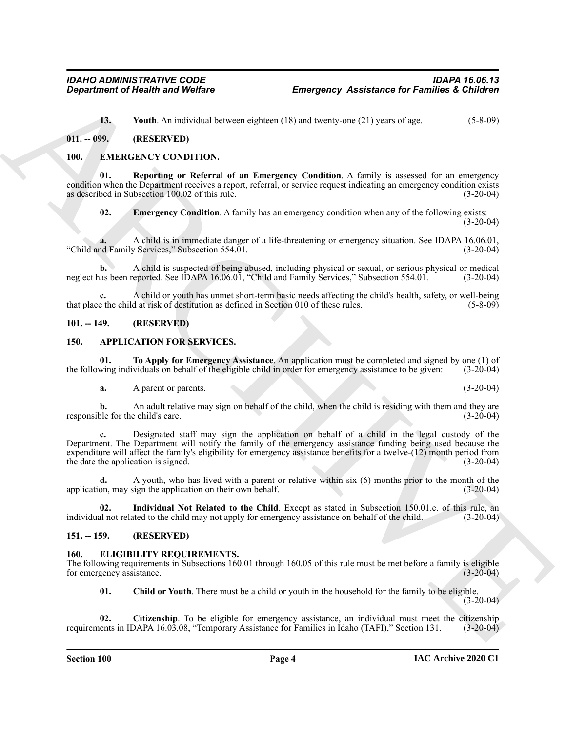<span id="page-3-13"></span><span id="page-3-9"></span>**13.** Youth. An individual between eighteen (18) and twenty-one (21) years of age. (5-8-09)

#### <span id="page-3-0"></span>**011. -- 099. (RESERVED)**

#### <span id="page-3-1"></span>**100. EMERGENCY CONDITION.**

**Reporting or Referral of an Emergency Condition.** A family is assessed for an emergency condition when the Department receives a report, referral, or service request indicating an emergency condition exists as described in Subsection 100.02 of this rule. (3-20-04)

<span id="page-3-15"></span><span id="page-3-14"></span>**02.** Emergency Condition. A family has an emergency condition when any of the following exists: (3-20-04)

**a.** A child is in immediate danger of a life-threatening or emergency situation. See IDAPA 16.06.01, "Child and Family Services," Subsection 554.01.

**b.** A child is suspected of being abused, including physical or sexual, or serious physical or medical neglect has been reported. See IDAPA 16.06.01, "Child and Family Services," Subsection 554.01. (3-20-04)

A child or youth has unmet short-term basic needs affecting the child's health, safety, or well-being d at risk of destitution as defined in Section 010 of these rules. (5-8-09) that place the child at risk of destitution as defined in Section 010 of these rules.

#### <span id="page-3-2"></span>**101. -- 149. (RESERVED)**

#### <span id="page-3-6"></span><span id="page-3-3"></span>**150. APPLICATION FOR SERVICES.**

**01. To Apply for Emergency Assistance**. An application must be completed and signed by one (1) of the following individuals on behalf of the eligible child in order for emergency assistance to be given: (3-20-04)

<span id="page-3-8"></span>**a.** A parent or parents. (3-20-04)

**b.** An adult relative may sign on behalf of the child, when the child is residing with them and they are responsible for the child's care. (3-20-04)

**Engaging Constitution of Newtown School Constitution**<br>
13. Vand A. A. Mark Hamiltonian School School Constitution (18) and by our school (19) and weak of the state of the state of the state of the state of the state of t **c.** Designated staff may sign the application on behalf of a child in the legal custody of the Department. The Department will notify the family of the emergency assistance funding being used because the expenditure will affect the family's eligibility for emergency assistance benefits for a twelve-(12) month period from the date the application is signed. (3-20-04)

**d.** A youth, who has lived with a parent or relative within six (6) months prior to the month of the application, may sign the application on their own behalf. (3-20-04)

<span id="page-3-7"></span>**02. Individual Not Related to the Child**. Except as stated in Subsection 150.01.c. of this rule, an individual not related to the child may not apply for emergency assistance on behalf of the child. (3-20-04)

#### <span id="page-3-4"></span>**151. -- 159. (RESERVED)**

#### <span id="page-3-10"></span><span id="page-3-5"></span>**160. ELIGIBILITY REQUIREMENTS.**

The following requirements in Subsections 160.01 through 160.05 of this rule must be met before a family is eligible for emergency assistance. (3-20-04)

<span id="page-3-12"></span><span id="page-3-11"></span>**01. Child or Youth**. There must be a child or youth in the household for the family to be eligible.

(3-20-04)

**02. Citizenship**. To be eligible for emergency assistance, an individual must meet the citizenship requirements in IDAPA 16.03.08, "Temporary Assistance for Families in Idaho (TAFI)," Section 131. (3-20-04)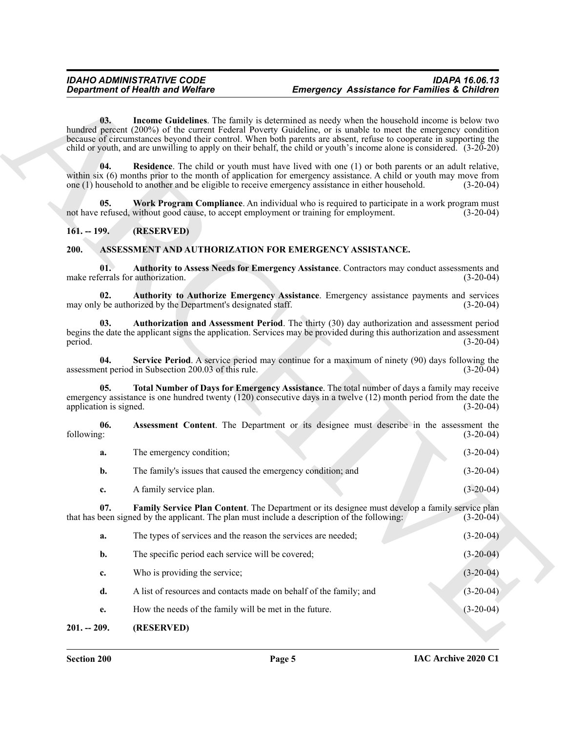#### <span id="page-4-13"></span><span id="page-4-12"></span><span id="page-4-10"></span><span id="page-4-9"></span><span id="page-4-7"></span><span id="page-4-6"></span><span id="page-4-5"></span><span id="page-4-4"></span><span id="page-4-3"></span><span id="page-4-1"></span><span id="page-4-0"></span>**200. ASSESSMENT AND AUTHORIZATION FOR EMERGENCY ASSISTANCE.**

<span id="page-4-11"></span>

|                               | <b>Department of Health and Welfare</b>                       | <b>Emergency Assistance for Families &amp; Children</b>                                                                                                                                                                                                                                                                                                                                                                                                      |             |
|-------------------------------|---------------------------------------------------------------|--------------------------------------------------------------------------------------------------------------------------------------------------------------------------------------------------------------------------------------------------------------------------------------------------------------------------------------------------------------------------------------------------------------------------------------------------------------|-------------|
| 03.                           |                                                               | Income Guidelines. The family is determined as needy when the household income is below two<br>hundred percent (200%) of the current Federal Poverty Guideline, or is unable to meet the emergency condition<br>because of circumstances beyond their control. When both parents are absent, refuse to cooperate in supporting the<br>child or youth, and are unwilling to apply on their behalf, the child or youth's income alone is considered. (3-20-20) |             |
| 04.                           |                                                               | <b>Residence</b> . The child or youth must have lived with one (1) or both parents or an adult relative,<br>within six (6) months prior to the month of application for emergency assistance. A child or youth may move from<br>one (1) household to another and be eligible to receive emergency assistance in either household.                                                                                                                            | $(3-20-04)$ |
| 05.                           |                                                               | Work Program Compliance. An individual who is required to participate in a work program must<br>not have refused, without good cause, to accept employment or training for employment.                                                                                                                                                                                                                                                                       | $(3-20-04)$ |
| $161. - 199.$                 | (RESERVED)                                                    |                                                                                                                                                                                                                                                                                                                                                                                                                                                              |             |
| 200.                          |                                                               | ASSESSMENT AND AUTHORIZATION FOR EMERGENCY ASSISTANCE.                                                                                                                                                                                                                                                                                                                                                                                                       |             |
| 01.                           | make referrals for authorization.                             | Authority to Assess Needs for Emergency Assistance. Contractors may conduct assessments and                                                                                                                                                                                                                                                                                                                                                                  | $(3-20-04)$ |
| 02.                           | may only be authorized by the Department's designated staff.  | Authority to Authorize Emergency Assistance. Emergency assistance payments and services                                                                                                                                                                                                                                                                                                                                                                      | $(3-20-04)$ |
| 03.<br>period.                |                                                               | Authorization and Assessment Period. The thirty (30) day authorization and assessment period<br>begins the date the applicant signs the application. Services may be provided during this authorization and assessment                                                                                                                                                                                                                                       | $(3-20-04)$ |
| 04.                           | assessment period in Subsection 200.03 of this rule.          | Service Period. A service period may continue for a maximum of ninety (90) days following the                                                                                                                                                                                                                                                                                                                                                                | $(3-20-04)$ |
| 05.<br>application is signed. |                                                               | Total Number of Days for Emergency Assistance. The total number of days a family may receive<br>emergency assistance is one hundred twenty $(120)$ consecutive days in a twelve $(12)$ month period from the date the                                                                                                                                                                                                                                        | $(3-20-04)$ |
| 06.<br>following:             |                                                               | Assessment Content. The Department or its designee must describe in the assessment the                                                                                                                                                                                                                                                                                                                                                                       | $(3-20-04)$ |
| a.                            | The emergency condition;                                      |                                                                                                                                                                                                                                                                                                                                                                                                                                                              | $(3-20-04)$ |
| b.                            | The family's issues that caused the emergency condition; and  |                                                                                                                                                                                                                                                                                                                                                                                                                                                              | $(3-20-04)$ |
| c.                            | A family service plan.                                        |                                                                                                                                                                                                                                                                                                                                                                                                                                                              | $(3-20-04)$ |
| 07.                           |                                                               | Family Service Plan Content. The Department or its designee must develop a family service plan<br>that has been signed by the applicant. The plan must include a description of the following:                                                                                                                                                                                                                                                               | $(3-20-04)$ |
| a.                            | The types of services and the reason the services are needed; |                                                                                                                                                                                                                                                                                                                                                                                                                                                              | $(3-20-04)$ |
| b.                            | The specific period each service will be covered;             |                                                                                                                                                                                                                                                                                                                                                                                                                                                              | $(3-20-04)$ |
| c.                            | Who is providing the service;                                 |                                                                                                                                                                                                                                                                                                                                                                                                                                                              | $(3-20-04)$ |
| d.                            |                                                               | A list of resources and contacts made on behalf of the family; and                                                                                                                                                                                                                                                                                                                                                                                           | $(3-20-04)$ |
|                               |                                                               |                                                                                                                                                                                                                                                                                                                                                                                                                                                              |             |
| e.                            | How the needs of the family will be met in the future.        |                                                                                                                                                                                                                                                                                                                                                                                                                                                              | $(3-20-04)$ |

#### <span id="page-4-8"></span><span id="page-4-2"></span>**201. -- 209. (RESERVED)**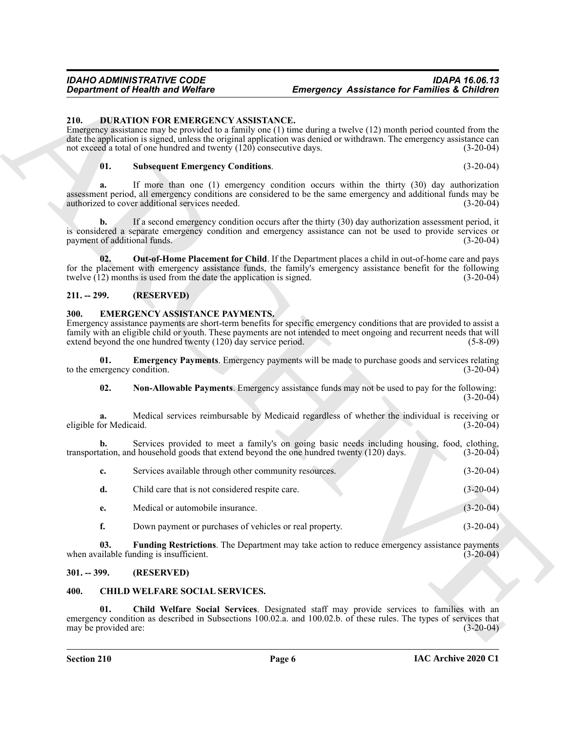#### <span id="page-5-7"></span><span id="page-5-0"></span>**210. DURATION FOR EMERGENCY ASSISTANCE.**

#### <span id="page-5-9"></span>**01. Subsequent Emergency Conditions**. (3-20-04)

#### <span id="page-5-8"></span><span id="page-5-1"></span>**211. -- 299. (RESERVED)**

#### <span id="page-5-13"></span><span id="page-5-11"></span><span id="page-5-10"></span><span id="page-5-2"></span>**300. EMERGENCY ASSISTANCE PAYMENTS.**

|                                                | <b>Department of Health and Welfare</b>                                                                    | <b>Emergency Assistance for Families &amp; Children</b>                                                                                                                                                                                        |             |
|------------------------------------------------|------------------------------------------------------------------------------------------------------------|------------------------------------------------------------------------------------------------------------------------------------------------------------------------------------------------------------------------------------------------|-------------|
| 210.                                           | DURATION FOR EMERGENCY ASSISTANCE.<br>not exceed a total of one hundred and twenty (120) consecutive days. | Emergency assistance may be provided to a family one $(1)$ time during a twelve $(12)$ month period counted from the<br>date the application is signed, unless the original application was denied or withdrawn. The emergency assistance can  | $(3-20-04)$ |
| 01.                                            | <b>Subsequent Emergency Conditions.</b>                                                                    |                                                                                                                                                                                                                                                | $(3-20-04)$ |
| a.                                             | authorized to cover additional services needed.                                                            | If more than one (1) emergency condition occurs within the thirty (30) day authorization<br>assessment period, all emergency conditions are considered to be the same emergency and additional funds may be                                    | $(3-20-04)$ |
| $\mathbf{b}$ .<br>payment of additional funds. |                                                                                                            | If a second emergency condition occurs after the thirty (30) day authorization assessment period, it<br>is considered a separate emergency condition and emergency assistance can not be used to provide services or                           | $(3-20-04)$ |
| 02.                                            | twelve $(12)$ months is used from the date the application is signed.                                      | <b>Out-of-Home Placement for Child</b> . If the Department places a child in out-of-home care and pays<br>for the placement with emergency assistance funds, the family's emergency assistance benefit for the following                       | $(3-20-04)$ |
| $211. - 299.$                                  | (RESERVED)                                                                                                 |                                                                                                                                                                                                                                                |             |
| 300.                                           | <b>EMERGENCY ASSISTANCE PAYMENTS.</b><br>extend beyond the one hundred twenty (120) day service period.    | Emergency assistance payments are short-term benefits for specific emergency conditions that are provided to assist a<br>family with an eligible child or youth. These payments are not intended to meet ongoing and recurrent needs that will | $(5-8-09)$  |
| 01.<br>to the emergency condition.             |                                                                                                            | Emergency Payments. Emergency payments will be made to purchase goods and services relating                                                                                                                                                    | $(3-20-04)$ |
| 02.                                            |                                                                                                            | Non-Allowable Payments. Emergency assistance funds may not be used to pay for the following:                                                                                                                                                   | $(3-20-04)$ |
| a.<br>eligible for Medicaid.                   |                                                                                                            | Medical services reimbursable by Medicaid regardless of whether the individual is receiving or                                                                                                                                                 | $(3-20-04)$ |
| b.                                             | transportation, and household goods that extend beyond the one hundred twenty (120) days.                  | Services provided to meet a family's on going basic needs including housing, food, clothing,                                                                                                                                                   | $(3-20-04)$ |
| c.                                             | Services available through other community resources.                                                      |                                                                                                                                                                                                                                                | $(3-20-04)$ |
| d.                                             | Child care that is not considered respite care.                                                            |                                                                                                                                                                                                                                                | $(3-20-04)$ |
| e.                                             | Medical or automobile insurance.                                                                           |                                                                                                                                                                                                                                                | $(3-20-04)$ |
| f.                                             | Down payment or purchases of vehicles or real property.                                                    |                                                                                                                                                                                                                                                | $(3-20-04)$ |
| 03.                                            | when available funding is insufficient.                                                                    | Funding Restrictions. The Department may take action to reduce emergency assistance payments                                                                                                                                                   | $(3-20-04)$ |
| $301. - 399.$                                  | (RESERVED)                                                                                                 |                                                                                                                                                                                                                                                |             |
| 400.                                           | <b>CHILD WELFARE SOCIAL SERVICES.</b>                                                                      |                                                                                                                                                                                                                                                |             |
| 01.<br>may be provided are:                    |                                                                                                            | Child Welfare Social Services. Designated staff may provide services to families with an<br>emergency condition as described in Subsections 100.02.a. and 100.02.b. of these rules. The types of services that                                 | $(3-20-04)$ |

#### <span id="page-5-12"></span><span id="page-5-3"></span>**301. -- 399. (RESERVED)**

#### <span id="page-5-6"></span><span id="page-5-5"></span><span id="page-5-4"></span>**400. CHILD WELFARE SOCIAL SERVICES.**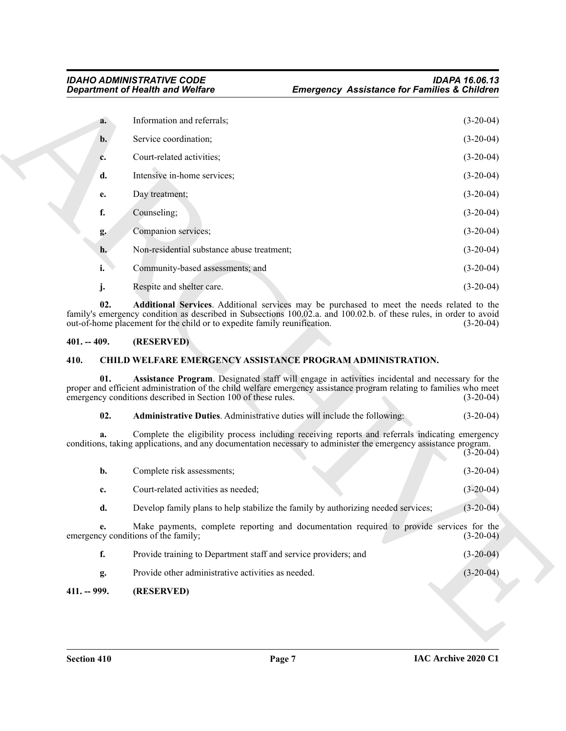|               | <b>Department of Health and Welfare</b>                                  | <b>Emergency Assistance for Families &amp; Children</b>                                                                                                                                                                |                                           |
|---------------|--------------------------------------------------------------------------|------------------------------------------------------------------------------------------------------------------------------------------------------------------------------------------------------------------------|-------------------------------------------|
| a.            | Information and referrals;                                               |                                                                                                                                                                                                                        | $(3-20-04)$                               |
| $b$ .         | Service coordination;                                                    |                                                                                                                                                                                                                        | $(3-20-04)$                               |
| c.            | Court-related activities;                                                |                                                                                                                                                                                                                        | $(3-20-04)$                               |
| d.            | Intensive in-home services;                                              |                                                                                                                                                                                                                        | $(3-20-04)$                               |
| e.            | Day treatment;                                                           |                                                                                                                                                                                                                        | $(3-20-04)$                               |
| f.            | Counseling;                                                              |                                                                                                                                                                                                                        | $(3-20-04)$                               |
| g.            | Companion services;                                                      |                                                                                                                                                                                                                        | $(3-20-04)$                               |
| h.            | Non-residential substance abuse treatment;                               |                                                                                                                                                                                                                        | $(3-20-04)$                               |
| i.            | Community-based assessments; and                                         |                                                                                                                                                                                                                        | $(3-20-04)$                               |
| j.            | Respite and shelter care.                                                |                                                                                                                                                                                                                        | $(3-20-04)$                               |
| 02.           | out-of-home placement for the child or to expedite family reunification. | Additional Services. Additional services may be purchased to meet the needs related to the<br>family's emergency condition as described in Subsections 100.02.a. and 100.02.b. of these rules, in order to avoid       | $(3-20-04)$                               |
| $401. - 409.$ | (RESERVED)                                                               |                                                                                                                                                                                                                        |                                           |
| 410.          |                                                                          | <b>CHILD WELFARE EMERGENCY ASSISTANCE PROGRAM ADMINISTRATION.</b>                                                                                                                                                      |                                           |
| 01.           | emergency conditions described in Section 100 of these rules.            | Assistance Program. Designated staff will engage in activities incidental and necessary for the<br>proper and efficient administration of the child welfare emergency assistance program relating to families who meet | $(3-20-04)$                               |
| 02.           | Administrative Duties. Administrative duties will include the following: |                                                                                                                                                                                                                        | $(3-20-04)$                               |
| a.            |                                                                          | Complete the eligibility process including receiving reports and referrals indicating emergency<br>conditions, taking applications, and any documentation necessary to administer the emergency assistance program.    | $(3-20-04)$                               |
| b.            | Complete risk assessments;                                               |                                                                                                                                                                                                                        | $(3-20-04)$                               |
|               |                                                                          |                                                                                                                                                                                                                        |                                           |
| c.            | Court-related activities as needed;                                      |                                                                                                                                                                                                                        | $(3-20-04)$                               |
| d.            |                                                                          | Develop family plans to help stabilize the family by authorizing needed services;                                                                                                                                      |                                           |
| e.            | emergency conditions of the family;                                      | Make payments, complete reporting and documentation required to provide services for the                                                                                                                               |                                           |
| f.            | Provide training to Department staff and service providers; and          |                                                                                                                                                                                                                        | $(3-20-04)$<br>$(3-20-04)$<br>$(3-20-04)$ |
| g.            | Provide other administrative activities as needed.                       |                                                                                                                                                                                                                        | $(3-20-04)$                               |

#### <span id="page-6-6"></span><span id="page-6-0"></span>**401. -- 409. (RESERVED)**

#### <span id="page-6-3"></span><span id="page-6-1"></span>**410. CHILD WELFARE EMERGENCY ASSISTANCE PROGRAM ADMINISTRATION.**

#### <span id="page-6-5"></span><span id="page-6-4"></span>**02. Administrative Duties**. Administrative duties will include the following: (3-20-04)

<span id="page-6-2"></span>

| b.            | Complete risk assessments;                                                                                                      | $(3-20-04)$ |
|---------------|---------------------------------------------------------------------------------------------------------------------------------|-------------|
| c.            | Court-related activities as needed;                                                                                             | $(3-20-04)$ |
| d.            | Develop family plans to help stabilize the family by authorizing needed services;                                               | $(3-20-04)$ |
| e.            | Make payments, complete reporting and documentation required to provide services for the<br>emergency conditions of the family; | $(3-20-04)$ |
| f.            | Provide training to Department staff and service providers; and                                                                 | $(3-20-04)$ |
| g.            | Provide other administrative activities as needed.                                                                              | $(3-20-04)$ |
| $411. - 999.$ | (RESERVED)                                                                                                                      |             |